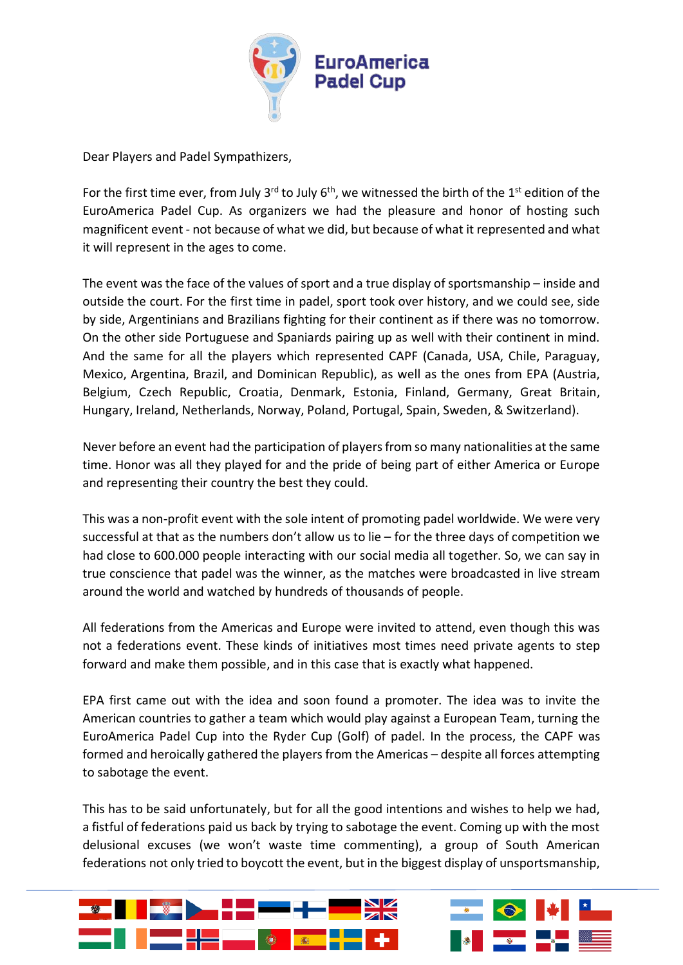

Dear Players and Padel Sympathizers,

For the first time ever, from July 3<sup>rd</sup> to July  $6<sup>th</sup>$ , we witnessed the birth of the 1<sup>st</sup> edition of the EuroAmerica Padel Cup. As organizers we had the pleasure and honor of hosting such magnificent event - not because of what we did, but because of what it represented and what it will represent in the ages to come.

The event was the face of the values of sport and a true display of sportsmanship – inside and outside the court. For the first time in padel, sport took over history, and we could see, side by side, Argentinians and Brazilians fighting for their continent as if there was no tomorrow. On the other side Portuguese and Spaniards pairing up as well with their continent in mind. And the same for all the players which represented CAPF (Canada, USA, Chile, Paraguay, Mexico, Argentina, Brazil, and Dominican Republic), as well as the ones from EPA (Austria, Belgium, Czech Republic, Croatia, Denmark, Estonia, Finland, Germany, Great Britain, Hungary, Ireland, Netherlands, Norway, Poland, Portugal, Spain, Sweden, & Switzerland).

Never before an event had the participation of players from so many nationalities at the same time. Honor was all they played for and the pride of being part of either America or Europe and representing their country the best they could.

This was a non-profit event with the sole intent of promoting padel worldwide. We were very successful at that as the numbers don't allow us to lie – for the three days of competition we had close to 600.000 people interacting with our social media all together. So, we can say in true conscience that padel was the winner, as the matches were broadcasted in live stream around the world and watched by hundreds of thousands of people.

All federations from the Americas and Europe were invited to attend, even though this was not a federations event. These kinds of initiatives most times need private agents to step forward and make them possible, and in this case that is exactly what happened.

EPA first came out with the idea and soon found a promoter. The idea was to invite the American countries to gather a team which would play against a European Team, turning the EuroAmerica Padel Cup into the Ryder Cup (Golf) of padel. In the process, the CAPF was formed and heroically gathered the players from the Americas – despite all forces attempting to sabotage the event.

This has to be said unfortunately, but for all the good intentions and wishes to help we had, a fistful of federations paid us back by trying to sabotage the event. Coming up with the most delusional excuses (we won't waste time commenting), a group of South American federations not only tried to boycott the event, but in the biggest display of unsportsmanship,



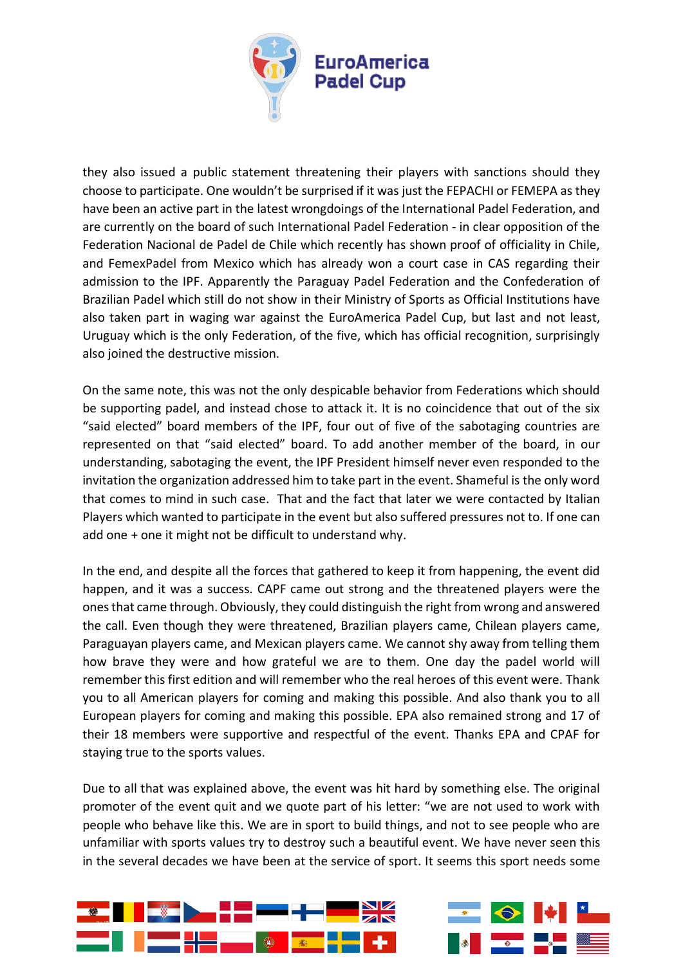

they also issued a public statement threatening their players with sanctions should they choose to participate. One wouldn't be surprised if it was just the FEPACHI or FEMEPA as they have been an active part in the latest wrongdoings of the International Padel Federation, and are currently on the board of such International Padel Federation - in clear opposition of the Federation Nacional de Padel de Chile which recently has shown proof of officiality in Chile, and FemexPadel from Mexico which has already won a court case in CAS regarding their admission to the IPF. Apparently the Paraguay Padel Federation and the Confederation of Brazilian Padel which still do not show in their Ministry of Sports as Official Institutions have also taken part in waging war against the EuroAmerica Padel Cup, but last and not least, Uruguay which is the only Federation, of the five, which has official recognition, surprisingly also joined the destructive mission.

On the same note, this was not the only despicable behavior from Federations which should be supporting padel, and instead chose to attack it. It is no coincidence that out of the six "said elected" board members of the IPF, four out of five of the sabotaging countries are represented on that "said elected" board. To add another member of the board, in our understanding, sabotaging the event, the IPF President himself never even responded to the invitation the organization addressed him to take part in the event. Shameful is the only word that comes to mind in such case. That and the fact that later we were contacted by Italian Players which wanted to participate in the event but also suffered pressures not to. If one can add one + one it might not be difficult to understand why.

In the end, and despite all the forces that gathered to keep it from happening, the event did happen, and it was a success. CAPF came out strong and the threatened players were the ones that came through. Obviously, they could distinguish the right from wrong and answered the call. Even though they were threatened, Brazilian players came, Chilean players came, Paraguayan players came, and Mexican players came. We cannot shy away from telling them how brave they were and how grateful we are to them. One day the padel world will remember this first edition and will remember who the real heroes of this event were. Thank you to all American players for coming and making this possible. And also thank you to all European players for coming and making this possible. EPA also remained strong and 17 of their 18 members were supportive and respectful of the event. Thanks EPA and CPAF for staying true to the sports values.

Due to all that was explained above, the event was hit hard by something else. The original promoter of the event quit and we quote part of his letter: "we are not used to work with people who behave like this. We are in sport to build things, and not to see people who are unfamiliar with sports values try to destroy such a beautiful event. We have never seen this in the several decades we have been at the service of sport. It seems this sport needs some



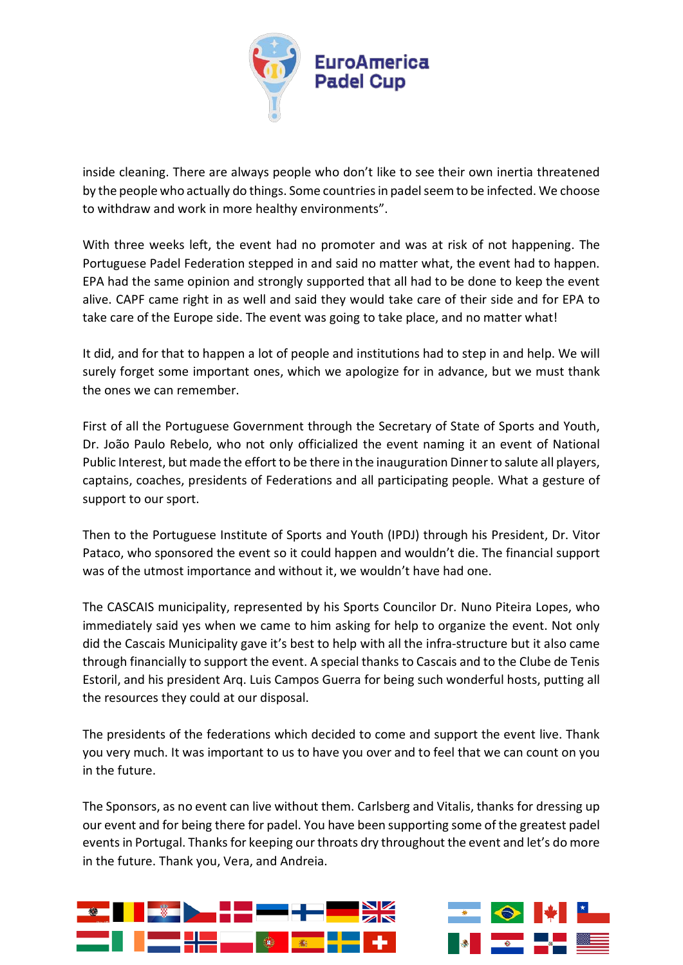

inside cleaning. There are always people who don't like to see their own inertia threatened by the people who actually do things. Some countries in padel seem to be infected. We choose to withdraw and work in more healthy environments".

With three weeks left, the event had no promoter and was at risk of not happening. The Portuguese Padel Federation stepped in and said no matter what, the event had to happen. EPA had the same opinion and strongly supported that all had to be done to keep the event alive. CAPF came right in as well and said they would take care of their side and for EPA to take care of the Europe side. The event was going to take place, and no matter what!

It did, and for that to happen a lot of people and institutions had to step in and help. We will surely forget some important ones, which we apologize for in advance, but we must thank the ones we can remember.

First of all the Portuguese Government through the Secretary of State of Sports and Youth, Dr. João Paulo Rebelo, who not only officialized the event naming it an event of National Public Interest, but made the effort to be there in the inauguration Dinner to salute all players, captains, coaches, presidents of Federations and all participating people. What a gesture of support to our sport.

Then to the Portuguese Institute of Sports and Youth (IPDJ) through his President, Dr. Vitor Pataco, who sponsored the event so it could happen and wouldn't die. The financial support was of the utmost importance and without it, we wouldn't have had one.

The CASCAIS municipality, represented by his Sports Councilor Dr. Nuno Piteira Lopes, who immediately said yes when we came to him asking for help to organize the event. Not only did the Cascais Municipality gave it's best to help with all the infra-structure but it also came through financially to support the event. A special thanks to Cascais and to the Clube de Tenis Estoril, and his president Arq. Luis Campos Guerra for being such wonderful hosts, putting all the resources they could at our disposal.

The presidents of the federations which decided to come and support the event live. Thank you very much. It was important to us to have you over and to feel that we can count on you in the future.

The Sponsors, as no event can live without them. Carlsberg and Vitalis, thanks for dressing up our event and for being there for padel. You have been supporting some of the greatest padel events in Portugal. Thanks for keeping our throats dry throughout the event and let's do more in the future. Thank you, Vera, and Andreia.



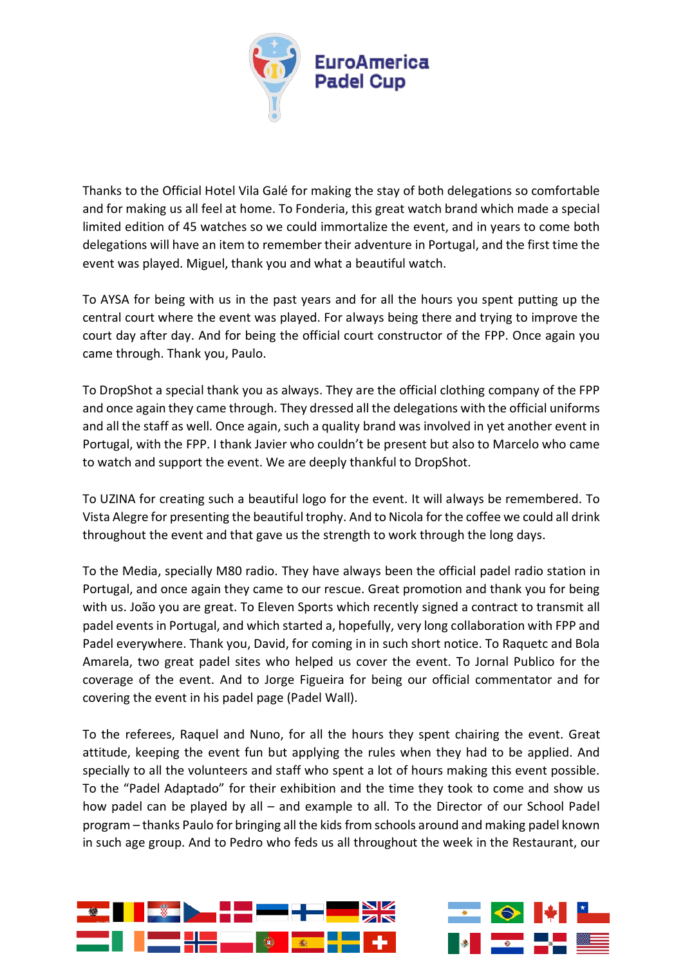

Thanks to the Official Hotel Vila Galé for making the stay of both delegations so comfortable and for making us all feel at home. To Fonderia, this great watch brand which made a special limited edition of 45 watches so we could immortalize the event, and in years to come both delegations will have an item to remember their adventure in Portugal, and the first time the event was played. Miguel, thank you and what a beautiful watch.

To AYSA for being with us in the past years and for all the hours you spent putting up the central court where the event was played. For always being there and trying to improve the court day after day. And for being the official court constructor of the FPP. Once again you came through. Thank you, Paulo.

To DropShot a special thank you as always. They are the official clothing company of the FPP and once again they came through. They dressed all the delegations with the official uniforms and all the staff as well. Once again, such a quality brand was involved in yet another event in Portugal, with the FPP. I thank Javier who couldn't be present but also to Marcelo who came to watch and support the event. We are deeply thankful to DropShot.

To UZINA for creating such a beautiful logo for the event. It will always be remembered. To Vista Alegre for presenting the beautiful trophy. And to Nicola for the coffee we could all drink throughout the event and that gave us the strength to work through the long days.

To the Media, specially M80 radio. They have always been the official padel radio station in Portugal, and once again they came to our rescue. Great promotion and thank you for being with us. João you are great. To Eleven Sports which recently signed a contract to transmit all padel events in Portugal, and which started a, hopefully, very long collaboration with FPP and Padel everywhere. Thank you, David, for coming in in such short notice. To Raquetc and Bola Amarela, two great padel sites who helped us cover the event. To Jornal Publico for the coverage of the event. And to Jorge Figueira for being our official commentator and for covering the event in his padel page (Padel Wall).

To the referees, Raquel and Nuno, for all the hours they spent chairing the event. Great attitude, keeping the event fun but applying the rules when they had to be applied. And specially to all the volunteers and staff who spent a lot of hours making this event possible. To the "Padel Adaptado" for their exhibition and the time they took to come and show us how padel can be played by all – and example to all. To the Director of our School Padel program – thanks Paulo for bringing all the kids from schools around and making padel known in such age group. And to Pedro who feds us all throughout the week in the Restaurant, our



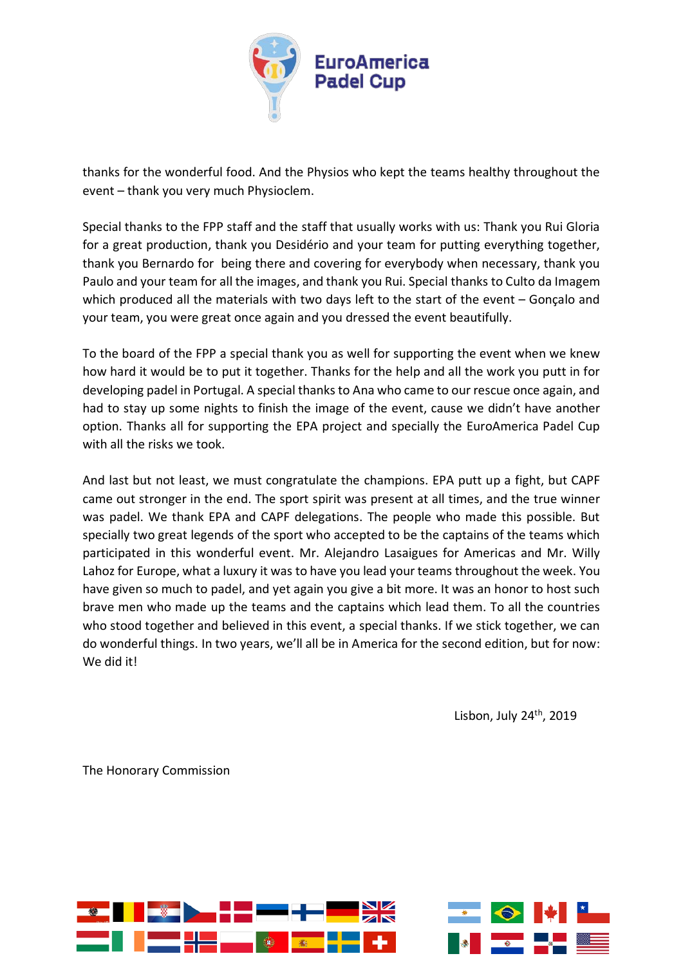

thanks for the wonderful food. And the Physios who kept the teams healthy throughout the event – thank you very much Physioclem.

Special thanks to the FPP staff and the staff that usually works with us: Thank you Rui Gloria for a great production, thank you Desidério and your team for putting everything together, thank you Bernardo for being there and covering for everybody when necessary, thank you Paulo and your team for all the images, and thank you Rui. Special thanks to Culto da Imagem which produced all the materials with two days left to the start of the event – Gonçalo and your team, you were great once again and you dressed the event beautifully.

To the board of the FPP a special thank you as well for supporting the event when we knew how hard it would be to put it together. Thanks for the help and all the work you putt in for developing padel in Portugal. A special thanks to Ana who came to our rescue once again, and had to stay up some nights to finish the image of the event, cause we didn't have another option. Thanks all for supporting the EPA project and specially the EuroAmerica Padel Cup with all the risks we took.

And last but not least, we must congratulate the champions. EPA putt up a fight, but CAPF came out stronger in the end. The sport spirit was present at all times, and the true winner was padel. We thank EPA and CAPF delegations. The people who made this possible. But specially two great legends of the sport who accepted to be the captains of the teams which participated in this wonderful event. Mr. Alejandro Lasaigues for Americas and Mr. Willy Lahoz for Europe, what a luxury it was to have you lead your teams throughout the week. You have given so much to padel, and yet again you give a bit more. It was an honor to host such brave men who made up the teams and the captains which lead them. To all the countries who stood together and believed in this event, a special thanks. If we stick together, we can do wonderful things. In two years, we'll all be in America for the second edition, but for now: We did it!

Lisbon, July  $24<sup>th</sup>$ , 2019

The Honorary Commission